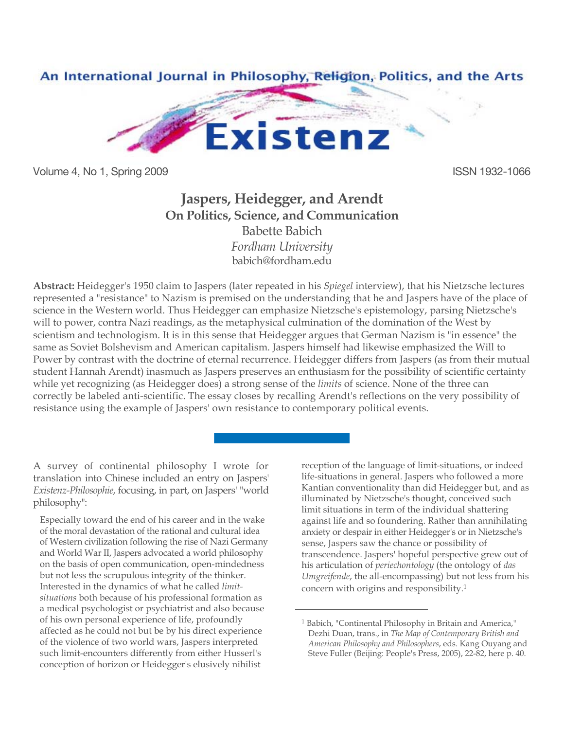

Volume 4, No 1, Spring 2009 **ISSN 1932-1066** 

# **Jaspers, Heidegger, and Arendt On Politics, Science, and Communication** Babette Babich

*Fordham University* [babich@fordham.edu](mailto:babich@fordham.edu)

**Abstract:** Heidegger's 1950 claim to Jaspers (later repeated in his *Spiegel* interview), that his Nietzsche lectures represented a "resistance" to Nazism is premised on the understanding that he and Jaspers have of the place of science in the Western world. Thus Heidegger can emphasize Nietzsche's epistemology, parsing Nietzsche's will to power, contra Nazi readings, as the metaphysical culmination of the domination of the West by scientism and technologism. It is in this sense that Heidegger argues that German Nazism is "in essence" the same as Soviet Bolshevism and American capitalism. Jaspers himself had likewise emphasized the Will to Power by contrast with the doctrine of eternal recurrence. Heidegger differs from Jaspers (as from their mutual student Hannah Arendt) inasmuch as Jaspers preserves an enthusiasm for the possibility of scientific certainty while yet recognizing (as Heidegger does) a strong sense of the *limits* of science. None of the three can correctly be labeled anti-scientific. The essay closes by recalling Arendt's reflections on the very possibility of resistance using the example of Jaspers' own resistance to contemporary political events.

 $\overline{a}$ 

A survey of continental philosophy I wrote for translation into Chinese included an entry on Jaspers' *Existenz-Philosophie*, focusing, in part, on Jaspers' "world philosophy":

Especially toward the end of his career and in the wake of the moral devastation of the rational and cultural idea of Western civilization following the rise of Nazi Germany and World War II, Jaspers advocated a world philosophy on the basis of open communication, open-mindedness but not less the scrupulous integrity of the thinker. Interested in the dynamics of what he called *limitsituations* both because of his professional formation as a medical psychologist or psychiatrist and also because of his own personal experience of life, profoundly affected as he could not but be by his direct experience of the violence of two world wars, Jaspers interpreted such limit-encounters differently from either Husserl's conception of horizon or Heidegger's elusively nihilist

reception of the language of limit-situations, or indeed life-situations in general. Jaspers who followed a more Kantian conventionality than did Heidegger but, and as illuminated by Nietzsche's thought, conceived such limit situations in term of the individual shattering against life and so foundering. Rather than annihilating anxiety or despair in either Heidegger's or in Nietzsche's sense, Jaspers saw the chance or possibility of transcendence. Jaspers' hopeful perspective grew out of his articulation of *periechontology* (the ontology of *das Umgreifende*, the all-encompassing) but not less from his concern with origins and responsibility. 1

<sup>1</sup> Babich, "Continental Philosophy in Britain and America," Dezhi Duan, trans., in *The Map of Contemporary British and American Philosophy and Philosophers*, eds. Kang Ouyang and Steve Fuller (Beijing: People's Press, 2005), 22-82, here p. 40.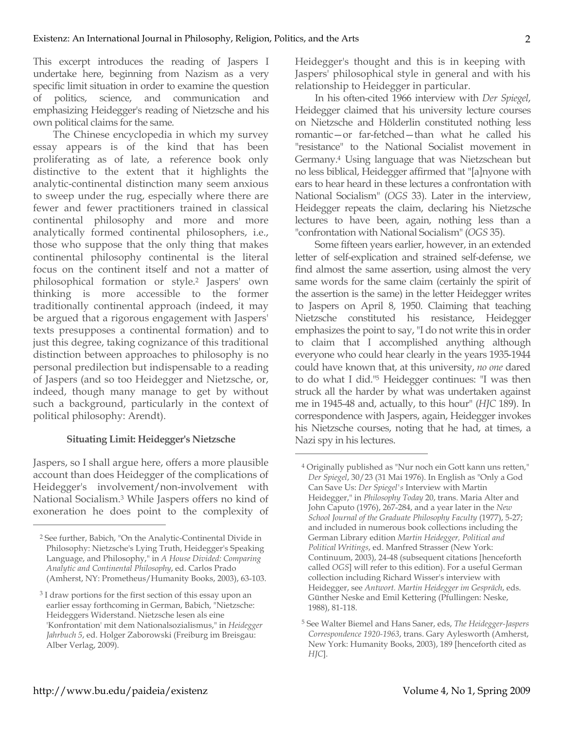This excerpt introduces the reading of Jaspers I undertake here, beginning from Nazism as a very specific limit situation in order to examine the question of politics, science, and communication and emphasizing Heidegger's reading of Nietzsche and his own political claims for the same.

The Chinese encyclopedia in which my survey essay appears is of the kind that has been proliferating as of late, a reference book only distinctive to the extent that it highlights the analytic-continental distinction many seem anxious to sweep under the rug, especially where there are fewer and fewer practitioners trained in classical continental philosophy and more and more analytically formed continental philosophers, i.e., those who suppose that the only thing that makes continental philosophy continental is the literal focus on the continent itself and not a matter of philosophical formation or style.2 Jaspers' own thinking is more accessible to the former traditionally continental approach (indeed, it may be argued that a rigorous engagement with Jaspers' texts presupposes a continental formation) and to just this degree, taking cognizance of this traditional distinction between approaches to philosophy is no personal predilection but indispensable to a reading of Jaspers (and so too Heidegger and Nietzsche, or, indeed, though many manage to get by without such a background, particularly in the context of political philosophy: Arendt).

## **Situating Limit: Heidegger's Nietzsche**

Jaspers, so I shall argue here, offers a more plausible account than does Heidegger of the complications of Heidegger's involvement/non-involvement with National Socialism.3 While Jaspers offers no kind of exoneration he does point to the complexity of Heidegger's thought and this is in keeping with Jaspers' philosophical style in general and with his relationship to Heidegger in particular.

In his often-cited 1966 interview with *Der Spiegel*, Heidegger claimed that his university lecture courses on Nietzsche and Hölderlin constituted nothing less romantic—or far-fetched—than what he called his "resistance" to the National Socialist movement in Germany.4 Using language that was Nietzschean but no less biblical, Heidegger affirmed that "[a]nyone with ears to hear heard in these lectures a confrontation with National Socialism" (*OGS* 33). Later in the interview, Heidegger repeats the claim, declaring his Nietzsche lectures to have been, again, nothing less than a "confrontation with National Socialism" (*OGS* 35).

Some fifteen years earlier, however, in an extended letter of self-explication and strained self-defense, we find almost the same assertion, using almost the very same words for the same claim (certainly the spirit of the assertion is the same) in the letter Heidegger writes to Jaspers on April 8, 1950. Claiming that teaching Nietzsche constituted his resistance, Heidegger emphasizes the point to say, "I do not write this in order to claim that I accomplished anything although everyone who could hear clearly in the years 1935-1944 could have known that, at this university, *no one* dared to do what I did."5 Heidegger continues: "I was then struck all the harder by what was undertaken against me in 1945-48 and, actually, to this hour" (*HJC* 189). In correspondence with Jaspers, again, Heidegger invokes his Nietzsche courses, noting that he had, at times, a Nazi spy in his lectures.

 $\overline{a}$ 

<sup>2</sup> See further, Babich, "On the Analytic-Continental Divide in Philosophy: Nietzsche's Lying Truth, Heidegger's Speaking Language, and Philosophy," in *A House Divided: Comparing Analytic and Continental Philosophy*, ed. Carlos Prado (Amherst, NY: Prometheus/Humanity Books, 2003), 63-103.

<sup>&</sup>lt;sup>3</sup> I draw portions for the first section of this essay upon an earlier essay forthcoming in German, Babich, "Nietzsche: Heideggers Widerstand. Nietzsche lesen als eine 'Konfrontation' mit dem Nationalsozialismus," in *Heidegger Jahrbuch 5*, ed. Holger Zaborowski (Freiburg im Breisgau: Alber Verlag, 2009).

<sup>4</sup> Originally published as "Nur noch ein Gott kann uns retten," *Der Spiegel*, 30/23 (31 Mai 1976). In English as "Only a God Can Save Us: *Der Spiegel's* Interview with Martin Heidegger," in *Philosophy Today* 20, trans. Maria Alter and John Caputo (1976), 267-284, and a year later in the *New School Journal of the Graduate Philosophy Faculty* (1977), 5-27; and included in numerous book collections including the German Library edition *Martin Heidegger, Political and Political Writings*, ed. Manfred Strasser (New York: Continuum, 2003), 24-48 (subsequent citations [henceforth called *OGS*] will refer to this edition). For a useful German collection including Richard Wisser's interview with Heidegger, see *Antwort. Martin Heidegger im Gespräch*, eds. Günther Neske and Emil Kettering (Pfullingen: Neske, 1988), 81-118.

<sup>5</sup> See Walter Biemel and Hans Saner, eds, *The Heidegger-Jaspers Correspondence 1920-1963*, trans. Gary Aylesworth (Amherst, New York: Humanity Books, 2003), 189 [henceforth cited as *HJC*].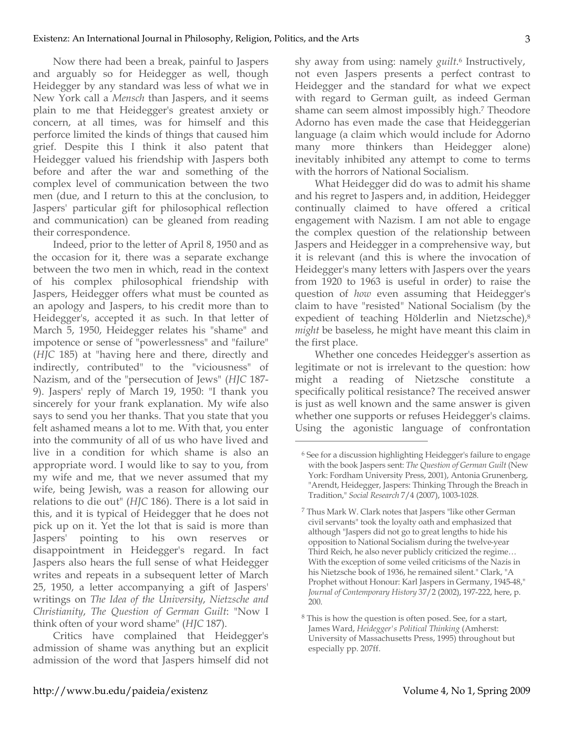Now there had been a break, painful to Jaspers and arguably so for Heidegger as well, though Heidegger by any standard was less of what we in New York call a *Mensch* than Jaspers, and it seems plain to me that Heidegger's greatest anxiety or concern, at all times, was for himself and this perforce limited the kinds of things that caused him grief. Despite this I think it also patent that Heidegger valued his friendship with Jaspers both before and after the war and something of the complex level of communication between the two men (due, and I return to this at the conclusion, to Jaspers' particular gift for philosophical reflection and communication) can be gleaned from reading their correspondence.

Indeed, prior to the letter of April 8, 1950 and as the occasion for it, there was a separate exchange between the two men in which, read in the context of his complex philosophical friendship with Jaspers, Heidegger offers what must be counted as an apology and Jaspers, to his credit more than to Heidegger's, accepted it as such. In that letter of March 5, 1950, Heidegger relates his "shame" and impotence or sense of "powerlessness" and "failure" (*HJC* 185) at "having here and there, directly and indirectly, contributed" to the "viciousness" of Nazism, and of the "persecution of Jews" (*HJC* 187- 9). Jaspers' reply of March 19, 1950: "I thank you sincerely for your frank explanation. My wife also says to send you her thanks. That you state that you felt ashamed means a lot to me. With that, you enter into the community of all of us who have lived and live in a condition for which shame is also an appropriate word. I would like to say to you, from my wife and me, that we never assumed that my wife, being Jewish, was a reason for allowing our relations to die out" (*HJC* 186). There is a lot said in this, and it is typical of Heidegger that he does not pick up on it. Yet the lot that is said is more than Jaspers' pointing to his own reserves or disappointment in Heidegger's regard. In fact Jaspers also hears the full sense of what Heidegger writes and repeats in a subsequent letter of March 25, 1950, a letter accompanying a gift of Jaspers' writings on *The Idea of the University*, *Nietzsche and Christianity*, *The Question of German Guilt*: "Now I think often of your word shame" (*HJC* 187).

Critics have complained that Heidegger's admission of shame was anything but an explicit admission of the word that Jaspers himself did not shy away from using: namely *guilt*.6 Instructively, not even Jaspers presents a perfect contrast to Heidegger and the standard for what we expect with regard to German guilt, as indeed German shame can seem almost impossibly high.7 Theodore Adorno has even made the case that Heideggerian language (a claim which would include for Adorno many more thinkers than Heidegger alone) inevitably inhibited any attempt to come to terms with the horrors of National Socialism.

What Heidegger did do was to admit his shame and his regret to Jaspers and, in addition, Heidegger continually claimed to have offered a critical engagement with Nazism. I am not able to engage the complex question of the relationship between Jaspers and Heidegger in a comprehensive way, but it is relevant (and this is where the invocation of Heidegger's many letters with Jaspers over the years from 1920 to 1963 is useful in order) to raise the question of *how* even assuming that Heidegger's claim to have "resisted" National Socialism (by the expedient of teaching Hölderlin and Nietzsche),8 *might* be baseless, he might have meant this claim in the first place.

Whether one concedes Heidegger's assertion as legitimate or not is irrelevant to the question: how might a reading of Nietzsche constitute a specifically political resistance? The received answer is just as well known and the same answer is given whether one supports or refuses Heidegger's claims. Using the agonistic language of confrontation

<sup>6</sup> See for a discussion highlighting Heidegger's failure to engage with the book Jaspers sent: *The Question of German Guilt* (New York: Fordham University Press, 2001), Antonia Grunenberg, "Arendt, Heidegger, Jaspers: Thinking Through the Breach in Tradition," *Social Research* 7/4 (2007), 1003-1028.

<sup>7</sup> Thus Mark W. Clark notes that Jaspers "like other German civil servants" took the loyalty oath and emphasized that although "Jaspers did not go to great lengths to hide his opposition to National Socialism during the twelve-year Third Reich, he also never publicly criticized the regime… With the exception of some veiled criticisms of the Nazis in his Nietzsche book of 1936, he remained silent." Clark, "A Prophet without Honour: Karl Jaspers in Germany, 1945-48," *Journal of Contemporary History* 37/2 (2002), 197-222, here, p. 200.

<sup>8</sup> This is how the question is often posed. See, for a start, James Ward, *Heidegger's Political Thinking* (Amherst: University of Massachusetts Press, 1995) throughout but especially pp. 207ff.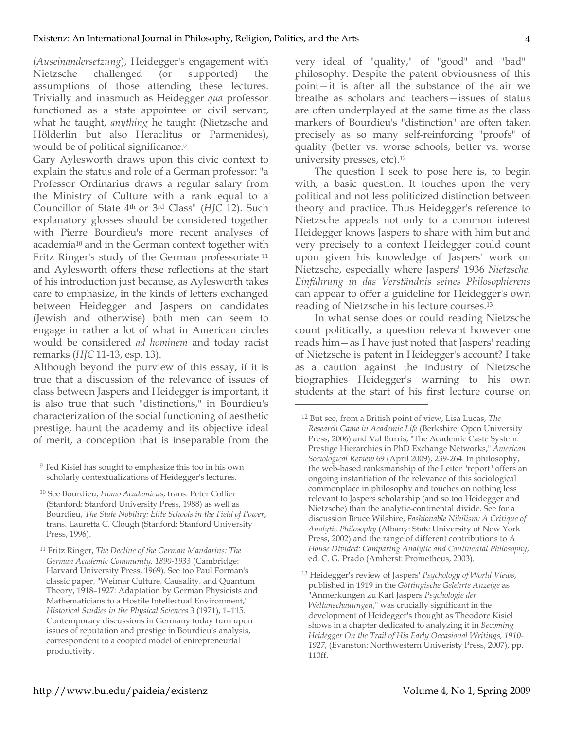(*Auseinandersetzung*), Heidegger's engagement with Nietzsche challenged (or supported) the assumptions of those attending these lectures. Trivially and inasmuch as Heidegger *qua* professor functioned as a state appointee or civil servant, what he taught, *anything* he taught (Nietzsche and Hölderlin but also Heraclitus or Parmenides), would be of political significance.<sup>9</sup>

Gary Aylesworth draws upon this civic context to explain the status and role of a German professor: "a Professor Ordinarius draws a regular salary from the Ministry of Culture with a rank equal to a Councillor of State 4th or 3rd Class" (*HJC* 12). Such explanatory glosses should be considered together with Pierre Bourdieu's more recent analyses of academia10 and in the German context together with Fritz Ringer's study of the German professoriate <sup>11</sup> and Aylesworth offers these reflections at the start of his introduction just because, as Aylesworth takes care to emphasize, in the kinds of letters exchanged between Heidegger and Jaspers on candidates (Jewish and otherwise) both men can seem to engage in rather a lot of what in American circles would be considered *ad hominem* and today racist remarks (*HJC* 11-13, esp. 13).

Although beyond the purview of this essay, if it is true that a discussion of the relevance of issues of class between Jaspers and Heidegger is important, it is also true that such "distinctions," in Bourdieu's characterization of the social functioning of aesthetic prestige, haunt the academy and its objective ideal of merit, a conception that is inseparable from the

 $\overline{a}$ 

very ideal of "quality," of "good" and "bad" philosophy. Despite the patent obviousness of this point—it is after all the substance of the air we breathe as scholars and teachers—issues of status are often underplayed at the same time as the class markers of Bourdieu's "distinction" are often taken precisely as so many self-reinforcing "proofs" of quality (better vs. worse schools, better vs. worse university presses, etc).12

The question I seek to pose here is, to begin with, a basic question. It touches upon the very political and not less politicized distinction between theory and practice. Thus Heidegger's reference to Nietzsche appeals not only to a common interest Heidegger knows Jaspers to share with him but and very precisely to a context Heidegger could count upon given his knowledge of Jaspers' work on Nietzsche, especially where Jaspers' 1936 *Nietzsche. Einführung in das Verständnis seines Philosophierens* can appear to offer a guideline for Heidegger's own reading of Nietzsche in his lecture courses.13

In what sense does or could reading Nietzsche count politically, a question relevant however one reads him—as I have just noted that Jaspers' reading of Nietzsche is patent in Heidegger's account? I take as a caution against the industry of Nietzsche biographies Heidegger's warning to his own students at the start of his first lecture course on

 $\overline{a}$ 

<sup>13</sup> Heidegger's review of Jaspers' *Psychology of World Views*, published in 1919 in the *Göttingische Gelehrte Anzeige* as "Anmerkungen zu Karl Jaspers *Psychologie der Weltanschauungen*," was crucially significant in the development of Heidegger's thought as Theodore Kisiel shows in a chapter dedicated to analyzing it in *Becoming Heidegger On the Trail of His Early Occasional Writings, 1910- 1927*, (Evanston: Northwestern Univeristy Press, 2007), pp. 110ff.

<sup>9</sup> Ted Kisiel has sought to emphasize this too in his own scholarly contextualizations of Heidegger's lectures.

<sup>10</sup> See Bourdieu, *Homo Academicus*, trans. Peter Collier (Stanford: Stanford University Press, 1988) as well as Bourdieu, *The State Nobility: Elite Schools in the Field of Power*, trans. Lauretta C. Clough (Stanford: Stanford University Press, 1996).

<sup>11</sup> Fritz Ringer, *The Decline of the German Mandarins: The German Academic Community, 1890-1933* (Cambridge: Harvard University Press, 1969). See too Paul Forman's classic paper, "Weimar Culture, Causality, and Quantum Theory, 1918–1927: Adaptation by German Physicists and Mathematicians to a Hostile Intellectual Environment," *Historical Studies in the Physical Sciences* 3 (1971), 1–115. Contemporary discussions in Germany today turn upon issues of reputation and prestige in Bourdieu's analysis, correspondent to a coopted model of entrepreneurial productivity.

<sup>12</sup> But see, from a British point of view, Lisa Lucas, *The Research Game in Academic Life* (Berkshire: Open University Press, 2006) and Val Burris, "The Academic Caste System: Prestige Hierarchies in PhD Exchange Networks," *American Sociological Review* 69 (April 2009), 239-264. In philosophy, the web-based ranksmanship of the Leiter "report" offers an ongoing instantiation of the relevance of this sociological commonplace in philosophy and touches on nothing less relevant to Jaspers scholarship (and so too Heidegger and Nietzsche) than the analytic-continental divide. See for a discussion Bruce Wilshire, *Fashionable Nihilism: A Critique of Analytic Philosophy* (Albany: State University of New York Press, 2002) and the range of different contributions to *A House Divided: Comparing Analytic and Continental Philosophy*, ed. C. G. Prado (Amherst: Prometheus, 2003).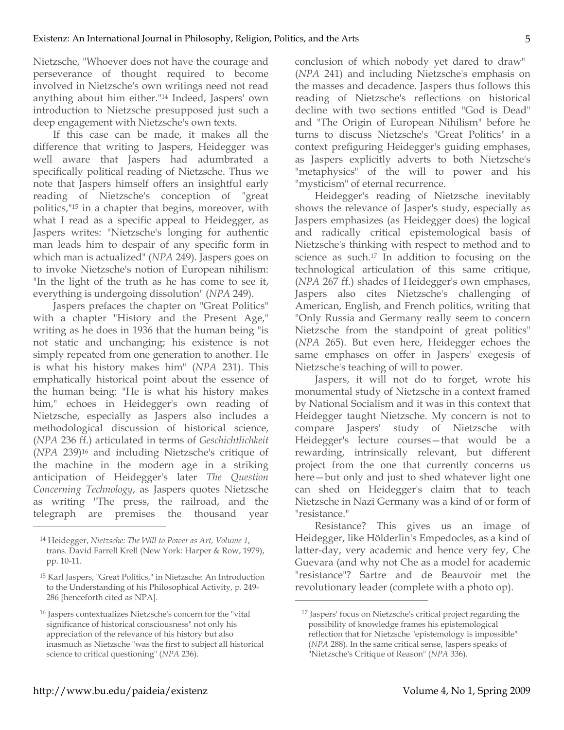Nietzsche, "Whoever does not have the courage and perseverance of thought required to become involved in Nietzsche's own writings need not read anything about him either."14 Indeed, Jaspers' own introduction to Nietzsche presupposed just such a deep engagement with Nietzsche's own texts.

If this case can be made, it makes all the difference that writing to Jaspers, Heidegger was well aware that Jaspers had adumbrated a specifically political reading of Nietzsche. Thus we note that Jaspers himself offers an insightful early reading of Nietzsche's conception of "great politics,"15 in a chapter that begins, moreover, with what I read as a specific appeal to Heidegger, as Jaspers writes: "Nietzsche's longing for authentic man leads him to despair of any specific form in which man is actualized" (*NPA* 249). Jaspers goes on to invoke Nietzsche's notion of European nihilism: "In the light of the truth as he has come to see it, everything is undergoing dissolution" (*NPA* 249).

Jaspers prefaces the chapter on "Great Politics" with a chapter "History and the Present Age," writing as he does in 1936 that the human being "is not static and unchanging; his existence is not simply repeated from one generation to another. He is what his history makes him" (*NPA* 231). This emphatically historical point about the essence of the human being: "He is what his history makes him," echoes in Heidegger's own reading of Nietzsche, especially as Jaspers also includes a methodological discussion of historical science, (*NPA* 236 ff.) articulated in terms of *Geschichtlichkeit* (*NPA* 239)16 and including Nietzsche's critique of the machine in the modern age in a striking anticipation of Heidegger's later *The Question Concerning Technology*, as Jaspers quotes Nietzsche as writing "The press, the railroad, and the telegraph are premises the thousand year

 $\overline{a}$ 

conclusion of which nobody yet dared to draw" (*NPA* 241) and including Nietzsche's emphasis on the masses and decadence. Jaspers thus follows this reading of Nietzsche's reflections on historical decline with two sections entitled "God is Dead" and "The Origin of European Nihilism" before he turns to discuss Nietzsche's "Great Politics" in a context prefiguring Heidegger's guiding emphases, as Jaspers explicitly adverts to both Nietzsche's "metaphysics" of the will to power and his "mysticism" of eternal recurrence.

Heidegger's reading of Nietzsche inevitably shows the relevance of Jasper's study, especially as Jaspers emphasizes (as Heidegger does) the logical and radically critical epistemological basis of Nietzsche's thinking with respect to method and to science as such.17 In addition to focusing on the technological articulation of this same critique, (*NPA* 267 ff.) shades of Heidegger's own emphases, Jaspers also cites Nietzsche's challenging of American, English, and French politics, writing that "Only Russia and Germany really seem to concern Nietzsche from the standpoint of great politics" (*NPA* 265). But even here, Heidegger echoes the same emphases on offer in Jaspers' exegesis of Nietzsche's teaching of will to power.

Jaspers, it will not do to forget, wrote his monumental study of Nietzsche in a context framed by National Socialism and it was in this context that Heidegger taught Nietzsche. My concern is not to compare Jaspers' study of Nietzsche with Heidegger's lecture courses—that would be a rewarding, intrinsically relevant, but different project from the one that currently concerns us here—but only and just to shed whatever light one can shed on Heidegger's claim that to teach Nietzsche in Nazi Germany was a kind of or form of "resistance."

Resistance? This gives us an image of Heidegger, like Hölderlin's Empedocles, as a kind of latter-day, very academic and hence very fey, Che Guevara (and why not Che as a model for academic "resistance"? Sartre and de Beauvoir met the revolutionary leader (complete with a photo op).

<sup>14</sup> Heidegger, *Nietzsche: The Will to Power as Art, Volume 1*, trans. David Farrell Krell (New York: Harper & Row, 1979), pp. 10-11.

<sup>15</sup> Karl Jaspers, "Great Politics," in Nietzsche: An Introduction to the Understanding of his Philosophical Activity, p. 249- 286 [henceforth cited as NPA].

<sup>16</sup> Jaspers contextualizes Nietzsche's concern for the "vital significance of historical consciousness" not only his appreciation of the relevance of his history but also inasmuch as Nietzsche "was the first to subject all historical science to critical questioning" (*NPA* 236).

<sup>17</sup> Jaspers' focus on Nietzsche's critical project regarding the possibility of knowledge frames his epistemological reflection that for Nietzsche "epistemology is impossible" (*NPA* 288). In the same critical sense, Jaspers speaks of "Nietzsche's Critique of Reason" (*NPA* 336).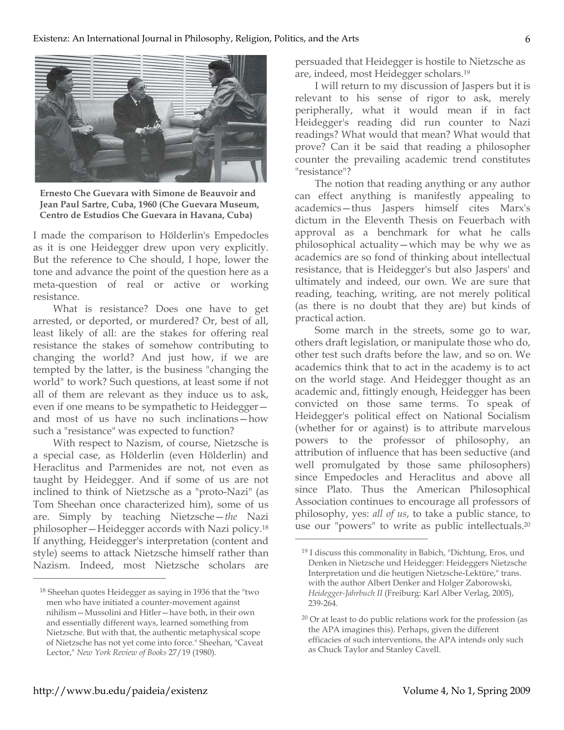

**Ernesto Che Guevara with Simone de Beauvoir and Jean Paul Sartre, Cuba, 1960 (Che Guevara Museum, Centro de Estudios Che Guevara in Havana, Cuba)**

I made the comparison to Hölderlin's Empedocles as it is one Heidegger drew upon very explicitly. But the reference to Che should, I hope, lower the tone and advance the point of the question here as a meta-question of real or active or working resistance.

What is resistance? Does one have to get arrested, or deported, or murdered? Or, best of all, least likely of all: are the stakes for offering real resistance the stakes of somehow contributing to changing the world? And just how, if we are tempted by the latter, is the business "changing the world" to work? Such questions, at least some if not all of them are relevant as they induce us to ask, even if one means to be sympathetic to Heidegger and most of us have no such inclinations—how such a "resistance" was expected to function?

With respect to Nazism, of course, Nietzsche is a special case, as Hölderlin (even Hölderlin) and Heraclitus and Parmenides are not, not even as taught by Heidegger. And if some of us are not inclined to think of Nietzsche as a "proto-Nazi" (as Tom Sheehan once characterized him), some of us are. Simply by teaching Nietzsche—*the* Nazi philosopher—Heidegger accords with Nazi policy.18 If anything, Heidegger's interpretation (content and style) seems to attack Nietzsche himself rather than Nazism. Indeed, most Nietzsche scholars are

persuaded that Heidegger is hostile to Nietzsche as are, indeed, most Heidegger scholars.19

I will return to my discussion of Jaspers but it is relevant to his sense of rigor to ask, merely peripherally, what it would mean if in fact Heidegger's reading did run counter to Nazi readings? What would that mean? What would that prove? Can it be said that reading a philosopher counter the prevailing academic trend constitutes "resistance"?

The notion that reading anything or any author can effect anything is manifestly appealing to academics—thus Jaspers himself cites Marx's dictum in the Eleventh Thesis on Feuerbach with approval as a benchmark for what he calls philosophical actuality—which may be why we as academics are so fond of thinking about intellectual resistance, that is Heidegger's but also Jaspers' and ultimately and indeed, our own. We are sure that reading, teaching, writing, are not merely political (as there is no doubt that they are) but kinds of practical action.

Some march in the streets, some go to war, others draft legislation, or manipulate those who do, other test such drafts before the law, and so on. We academics think that to act in the academy is to act on the world stage. And Heidegger thought as an academic and, fittingly enough, Heidegger has been convicted on those same terms. To speak of Heidegger's political effect on National Socialism (whether for or against) is to attribute marvelous powers to the professor of philosophy, an attribution of influence that has been seductive (and well promulgated by those same philosophers) since Empedocles and Heraclitus and above all since Plato. Thus the American Philosophical Association continues to encourage all professors of philosophy, yes: *all of us*, to take a public stance, to use our "powers" to write as public intellectuals.20

 $\overline{a}$ 

<sup>18</sup> Sheehan quotes Heidegger as saying in 1936 that the "two men who have initiated a counter-movement against nihilism—Mussolini and Hitler—have both, in their own and essentially different ways, learned something from Nietzsche. But with that, the authentic metaphysical scope of Nietzsche has not yet come into force." Sheehan, "Caveat Lector," *New York Review of Books* 27/19 (1980).

<sup>19</sup> I discuss this commonality in Babich, "Dichtung, Eros, und Denken in Nietzsche und Heidegger: Heideggers Nietzsche Interpretation und die heutigen Nietzsche-Lektüre," trans. with the author Albert Denker and Holger Zaborowski, *Heidegger-Jahrbuch II* (Freiburg: Karl Alber Verlag, 2005), 239-264.

<sup>20</sup> Or at least to do public relations work for the profession (as the APA imagines this). Perhaps, given the different efficacies of such interventions, the APA intends only such as Chuck Taylor and Stanley Cavell.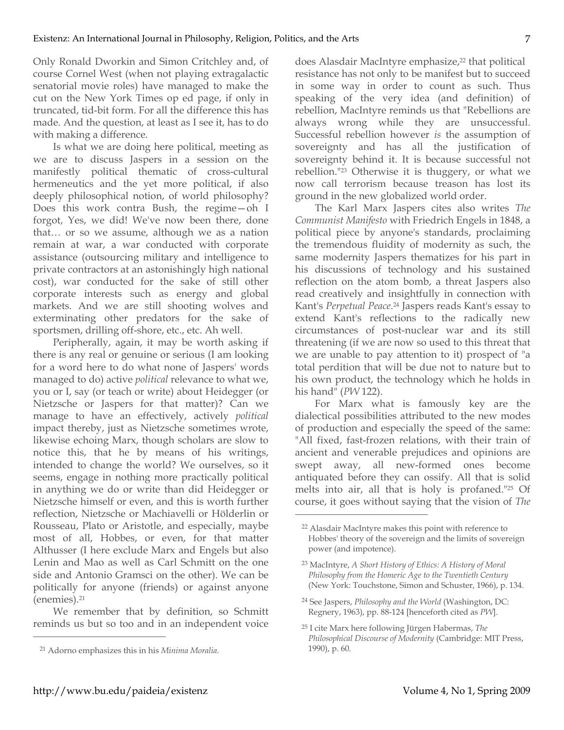Only Ronald Dworkin and Simon Critchley and, of course Cornel West (when not playing extragalactic senatorial movie roles) have managed to make the cut on the New York Times op ed page, if only in truncated, tid-bit form. For all the difference this has made. And the question, at least as I see it, has to do with making a difference.

Is what we are doing here political, meeting as we are to discuss Jaspers in a session on the manifestly political thematic of cross-cultural hermeneutics and the yet more political, if also deeply philosophical notion, of world philosophy? Does this work contra Bush, the regime—oh I forgot, Yes, we did! We've now been there, done that… or so we assume, although we as a nation remain at war, a war conducted with corporate assistance (outsourcing military and intelligence to private contractors at an astonishingly high national cost), war conducted for the sake of still other corporate interests such as energy and global markets. And we are still shooting wolves and exterminating other predators for the sake of sportsmen, drilling off-shore, etc., etc. Ah well.

Peripherally, again, it may be worth asking if there is any real or genuine or serious (I am looking for a word here to do what none of Jaspers' words managed to do) active *political* relevance to what we, you or I, say (or teach or write) about Heidegger (or Nietzsche or Jaspers for that matter)? Can we manage to have an effectively, actively *political*  impact thereby, just as Nietzsche sometimes wrote, likewise echoing Marx, though scholars are slow to notice this, that he by means of his writings, intended to change the world? We ourselves, so it seems, engage in nothing more practically political in anything we do or write than did Heidegger or Nietzsche himself or even, and this is worth further reflection, Nietzsche or Machiavelli or Hölderlin or Rousseau, Plato or Aristotle, and especially, maybe most of all, Hobbes, or even, for that matter Althusser (I here exclude Marx and Engels but also Lenin and Mao as well as Carl Schmitt on the one side and Antonio Gramsci on the other). We can be politically for anyone (friends) or against anyone (enemies).21

We remember that by definition, so Schmitt reminds us but so too and in an independent voice

does Alasdair MacIntyre emphasize,<sup>22</sup> that political resistance has not only to be manifest but to succeed in some way in order to count as such. Thus speaking of the very idea (and definition) of rebellion, MacIntyre reminds us that "Rebellions are always wrong while they are unsuccessful. Successful rebellion however *is* the assumption of sovereignty and has all the justification of sovereignty behind it. It is because successful not rebellion."23 Otherwise it is thuggery, or what we now call terrorism because treason has lost its ground in the new globalized world order.

The Karl Marx Jaspers cites also writes *The Communist Manifesto* with Friedrich Engels in 1848, a political piece by anyone's standards, proclaiming the tremendous fluidity of modernity as such, the same modernity Jaspers thematizes for his part in his discussions of technology and his sustained reflection on the atom bomb, a threat Jaspers also read creatively and insightfully in connection with Kant's *Perpetual Peace*.24 Jaspers reads Kant's essay to extend Kant's reflections to the radically new circumstances of post-nuclear war and its still threatening (if we are now so used to this threat that we are unable to pay attention to it) prospect of "a total perdition that will be due not to nature but to his own product, the technology which he holds in his hand" (*PW* 122).

For Marx what is famously key are the dialectical possibilities attributed to the new modes of production and especially the speed of the same: "All fixed, fast-frozen relations, with their train of ancient and venerable prejudices and opinions are swept away, all new-formed ones become antiquated before they can ossify. All that is solid melts into air, all that is holy is profaned."25 Of course, it goes without saying that the vision of *The* 

 $\overline{a}$ 

<sup>21</sup> Adorno emphasizes this in his *Minima Moralia*.

<sup>22</sup> Alasdair MacIntyre makes this point with reference to Hobbes' theory of the sovereign and the limits of sovereign power (and impotence).

<sup>23</sup> MacIntyre, *A Short History of Ethics: A History of Moral Philosophy from the Homeric Age to the Twentieth Century* (New York: Touchstone, Simon and Schuster, 1966), p. 134.

<sup>24</sup> See Jaspers, *Philosophy and the World* (Washington, DC: Regnery, 1963), pp. 88-124 [henceforth cited as *PW*].

<sup>25</sup> I cite Marx here following Jürgen Habermas, *The Philosophical Discourse of Modernity* (Cambridge: MIT Press, 1990), p. 60.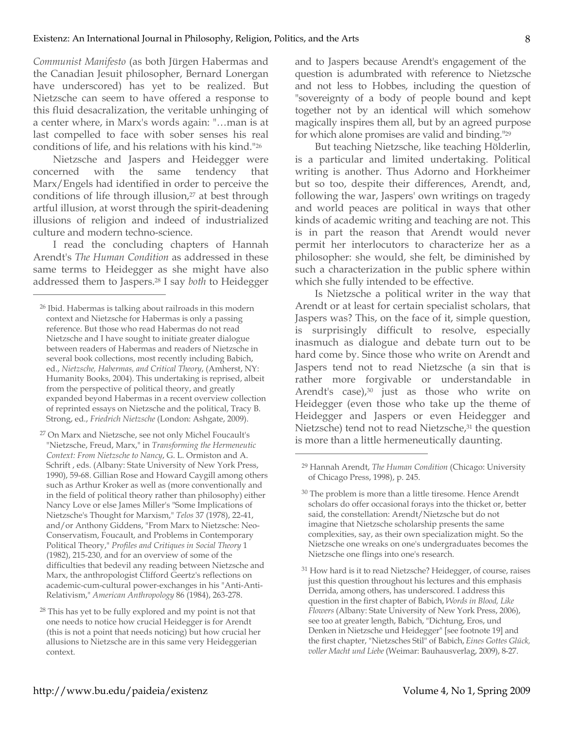*Communist Manifesto* (as both Jürgen Habermas and the Canadian Jesuit philosopher, Bernard Lonergan have underscored) has yet to be realized. But Nietzsche can seem to have offered a response to this fluid desacralization, the veritable unhinging of a center where, in Marx's words again: "…man is at last compelled to face with sober senses his real conditions of life, and his relations with his kind."26

Nietzsche and Jaspers and Heidegger were concerned with the same tendency that Marx/Engels had identified in order to perceive the conditions of life through illusion,<sup>27</sup> at best through artful illusion, at worst through the spirit-deadening illusions of religion and indeed of industrialized culture and modern techno-science.

I read the concluding chapters of Hannah Arendt's *The Human Condition* as addressed in these same terms to Heidegger as she might have also addressed them to Jaspers.28 I say *both* to Heidegger

 $\overline{a}$ 

and to Jaspers because Arendt's engagement of the question is adumbrated with reference to Nietzsche and not less to Hobbes, including the question of "sovereignty of a body of people bound and kept together not by an identical will which somehow magically inspires them all, but by an agreed purpose for which alone promises are valid and binding."29

But teaching Nietzsche, like teaching Hölderlin, is a particular and limited undertaking. Political writing is another. Thus Adorno and Horkheimer but so too, despite their differences, Arendt, and, following the war, Jaspers' own writings on tragedy and world peaces are political in ways that other kinds of academic writing and teaching are not. This is in part the reason that Arendt would never permit her interlocutors to characterize her as a philosopher: she would, she felt, be diminished by such a characterization in the public sphere within which she fully intended to be effective.

Is Nietzsche a political writer in the way that Arendt or at least for certain specialist scholars, that Jaspers was? This, on the face of it, simple question, is surprisingly difficult to resolve, especially inasmuch as dialogue and debate turn out to be hard come by. Since those who write on Arendt and Jaspers tend not to read Nietzsche (a sin that is rather more forgivable or understandable in Arendt's case),<sup>30</sup> just as those who write on Heidegger (even those who take up the theme of Heidegger and Jaspers or even Heidegger and Nietzsche) tend not to read Nietzsche,<sup>31</sup> the question is more than a little hermeneutically daunting.

<sup>26</sup> Ibid. Habermas is talking about railroads in this modern context and Nietzsche for Habermas is only a passing reference. But those who read Habermas do not read Nietzsche and I have sought to initiate greater dialogue between readers of Habermas and readers of Nietzsche in several book collections, most recently including Babich, ed., *Nietzsche, Habermas, and Critical Theory*, (Amherst, NY: Humanity Books, 2004). This undertaking is reprised, albeit from the perspective of political theory, and greatly expanded beyond Habermas in a recent overview collection of reprinted essays on Nietzsche and the political, Tracy B. Strong, ed., *Friedrich Nietzsche* (London: Ashgate, 2009).

<sup>27</sup> On Marx and Nietzsche, see not only Michel Foucault's "Nietzsche, Freud, Marx," in *Transforming the Hermeneutic Context: From Nietzsche to Nancy*, G. L. Ormiston and A. Schrift , eds. (Albany: State University of New York Press, 1990), 59-68. Gillian Rose and Howard Caygill among others such as Arthur Kroker as well as (more conventionally and in the field of political theory rather than philosophy) either Nancy Love or else James Miller's "Some Implications of Nietzsche's Thought for Marxism," *Telos* 37 (1978), 22-41, and/or Anthony Giddens, "From Marx to Nietzsche: Neo-Conservatism, Foucault, and Problems in Contemporary Political Theory," *Profiles and Critiques in Social Theory* 1 (1982), 215-230, and for an overview of some of the difficulties that bedevil any reading between Nietzsche and Marx, the anthropologist Clifford Geertz's reflections on academic-cum-cultural power-exchanges in his "Anti-Anti-Relativism," *American Anthropology* 86 (1984), 263-278.

<sup>&</sup>lt;sup>28</sup> This has yet to be fully explored and my point is not that one needs to notice how crucial Heidegger is for Arendt (this is not a point that needs noticing) but how crucial her allusions to Nietzsche are in this same very Heideggerian context.

<sup>29</sup> Hannah Arendt, *The Human Condition* (Chicago: University of Chicago Press, 1998), p. 245.

<sup>30</sup> The problem is more than a little tiresome. Hence Arendt scholars do offer occasional forays into the thicket or, better said, the constellation: Arendt/Nietzsche but do not imagine that Nietzsche scholarship presents the same complexities, say, as their own specialization might. So the Nietzsche one wreaks on one's undergraduates becomes the Nietzsche one flings into one's research.

<sup>&</sup>lt;sup>31</sup> How hard is it to read Nietzsche? Heidegger, of course, raises just this question throughout his lectures and this emphasis Derrida, among others, has underscored. I address this question in the first chapter of Babich, *Words in Blood, Like Flowers* (Albany: State University of New York Press, 2006), see too at greater length, Babich, "Dichtung, Eros, und Denken in Nietzsche und Heidegger" [see footnote 19] and the first chapter, "Nietzsches Stil" of Babich, *Eines Gottes Glück, voller Macht und Liebe* (Weimar: Bauhausverlag, 2009), 8-27.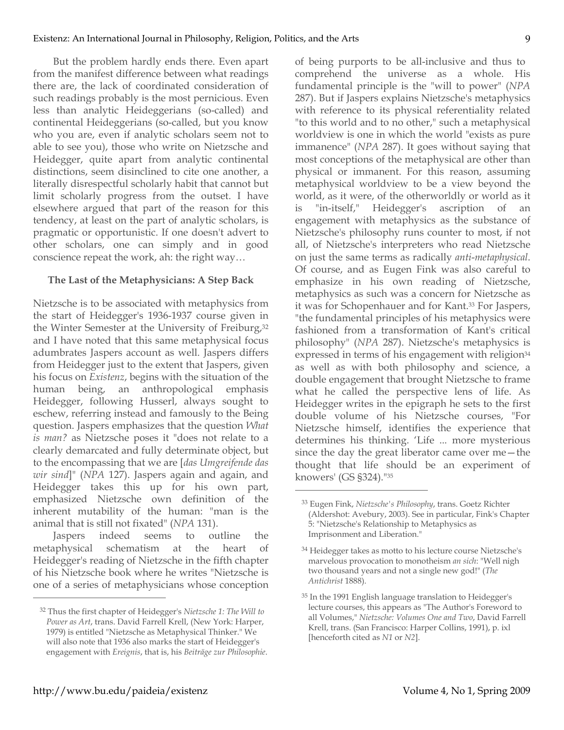But the problem hardly ends there. Even apart from the manifest difference between what readings there are, the lack of coordinated consideration of such readings probably is the most pernicious. Even less than analytic Heideggerians (so-called) and continental Heideggerians (so-called, but you know who you are, even if analytic scholars seem not to able to see you), those who write on Nietzsche and Heidegger, quite apart from analytic continental distinctions, seem disinclined to cite one another, a literally disrespectful scholarly habit that cannot but limit scholarly progress from the outset. I have elsewhere argued that part of the reason for this tendency, at least on the part of analytic scholars, is pragmatic or opportunistic. If one doesn't advert to other scholars, one can simply and in good conscience repeat the work, ah: the right way…

## **The Last of the Metaphysicians: A Step Back**

Nietzsche is to be associated with metaphysics from the start of Heidegger's 1936-1937 course given in the Winter Semester at the University of Freiburg,<sup>32</sup> and I have noted that this same metaphysical focus adumbrates Jaspers account as well. Jaspers differs from Heidegger just to the extent that Jaspers, given his focus on *Existenz*, begins with the situation of the human being, an anthropological emphasis Heidegger, following Husserl, always sought to eschew, referring instead and famously to the Being question. Jaspers emphasizes that the question *What is man?* as Nietzsche poses it "does not relate to a clearly demarcated and fully determinate object, but to the encompassing that we are [*das Umgreifende das wir sind*]" (*NPA* 127). Jaspers again and again, and Heidegger takes this up for his own part, emphasized Nietzsche own definition of the inherent mutability of the human: "man is the animal that is still not fixated" (*NPA* 131).

Jaspers indeed seems to outline the metaphysical schematism at the heart of Heidegger's reading of Nietzsche in the fifth chapter of his Nietzsche book where he writes "Nietzsche is one of a series of metaphysicians whose conception of being purports to be all-inclusive and thus to comprehend the universe as a whole. His fundamental principle is the "will to power" (*NPA* 287). But if Jaspers explains Nietzsche's metaphysics with reference to its physical referentiality related "to this world and to no other," such a metaphysical worldview is one in which the world "exists as pure immanence" (*NPA* 287). It goes without saying that most conceptions of the metaphysical are other than physical or immanent. For this reason, assuming metaphysical worldview to be a view beyond the world, as it were, of the otherworldly or world as it is "in-itself," Heidegger's ascription of an engagement with metaphysics as the substance of Nietzsche's philosophy runs counter to most, if not all, of Nietzsche's interpreters who read Nietzsche on just the same terms as radically *anti*-*metaphysical*. Of course, and as Eugen Fink was also careful to emphasize in his own reading of Nietzsche, metaphysics as such was a concern for Nietzsche as it was for Schopenhauer and for Kant.33 For Jaspers, "the fundamental principles of his metaphysics were fashioned from a transformation of Kant's critical philosophy" (*NPA* 287). Nietzsche's metaphysics is expressed in terms of his engagement with religion<sup>34</sup> as well as with both philosophy and science, a double engagement that brought Nietzsche to frame what he called the perspective lens of life. As Heidegger writes in the epigraph he sets to the first double volume of his Nietzsche courses, "For Nietzsche himself, identifies the experience that determines his thinking. 'Life ... more mysterious since the day the great liberator came over me—the thought that life should be an experiment of knowers' (GS §324)."35

 $\overline{a}$ 

<sup>32</sup> Thus the first chapter of Heidegger's *Nietzsche 1: The Will to Power as Art*, trans. David Farrell Krell, (New York: Harper, 1979) is entitled "Nietzsche as Metaphysical Thinker." We will also note that 1936 also marks the start of Heidegger's engagement with *Ereignis*, that is, his *Beiträge zur Philosophie*.

<sup>33</sup> Eugen Fink, *Nietzsche's Philosophy*, trans. Goetz Richter (Aldershot: Avebury, 2003). See in particular, Fink's Chapter 5: "Nietzsche's Relationship to Metaphysics as Imprisonment and Liberation."

<sup>34</sup> Heidegger takes as motto to his lecture course Nietzsche's marvelous provocation to monotheism *an sich*: "Well nigh two thousand years and not a single new god!" (*The Antichrist* 1888).

<sup>35</sup> In the 1991 English language translation to Heidegger's lecture courses, this appears as "The Author's Foreword to all Volumes," *Nietzsche: Volumes One and Two*, David Farrell Krell, trans. (San Francisco: Harper Collins, 1991), p. ixl [henceforth cited as *N1* or *N2*].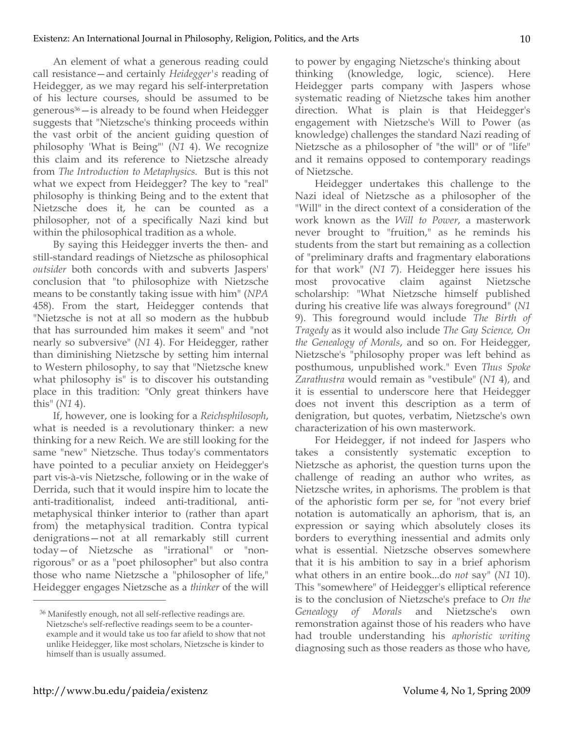An element of what a generous reading could call resistance—and certainly *Heidegger's* reading of Heidegger, as we may regard his self-interpretation of his lecture courses, should be assumed to be generous36—is already to be found when Heidegger suggests that "Nietzsche's thinking proceeds within the vast orbit of the ancient guiding question of philosophy 'What is Being"' (*N1* 4). We recognize this claim and its reference to Nietzsche already from *The Introduction to Metaphysics.* But is this not what we expect from Heidegger? The key to "real" philosophy is thinking Being and to the extent that Nietzsche does it, he can be counted as a philosopher, not of a specifically Nazi kind but within the philosophical tradition as a whole.

By saying this Heidegger inverts the then- and still-standard readings of Nietzsche as philosophical *outsider* both concords with and subverts Jaspers' conclusion that "to philosophize with Nietzsche means to be constantly taking issue with him" (*NPA* 458). From the start, Heidegger contends that "Nietzsche is not at all so modern as the hubbub that has surrounded him makes it seem" and "not nearly so subversive" (*N1* 4). For Heidegger, rather than diminishing Nietzsche by setting him internal to Western philosophy, to say that "Nietzsche knew what philosophy is" is to discover his outstanding place in this tradition: "Only great thinkers have this" (*N1* 4).

If, however, one is looking for a *Reichsphilosoph*, what is needed is a revolutionary thinker: a new thinking for a new Reich. We are still looking for the same "new" Nietzsche. Thus today's commentators have pointed to a peculiar anxiety on Heidegger's part vis-à-vis Nietzsche, following or in the wake of Derrida, such that it would inspire him to locate the anti-traditionalist, indeed anti-traditional, antimetaphysical thinker interior to (rather than apart from) the metaphysical tradition. Contra typical denigrations—not at all remarkably still current today—of Nietzsche as "irrational" or "nonrigorous" or as a "poet philosopher" but also contra those who name Nietzsche a "philosopher of life," Heidegger engages Nietzsche as a *thinker* of the will

to power by engaging Nietzsche's thinking about thinking (knowledge, logic, science). Here Heidegger parts company with Jaspers whose systematic reading of Nietzsche takes him another direction. What is plain is that Heidegger's engagement with Nietzsche's Will to Power (as knowledge) challenges the standard Nazi reading of Nietzsche as a philosopher of "the will" or of "life" and it remains opposed to contemporary readings of Nietzsche.

Heidegger undertakes this challenge to the Nazi ideal of Nietzsche as a philosopher of the "Will" in the direct context of a consideration of the work known as the *Will to Power*, a masterwork never brought to "fruition," as he reminds his students from the start but remaining as a collection of "preliminary drafts and fragmentary elaborations for that work" (*N1* 7). Heidegger here issues his most provocative claim against Nietzsche scholarship: "What Nietzsche himself published during his creative life was always foreground" (*N1* 9). This foreground would include *The Birth of Tragedy* as it would also include *The Gay Science, On the Genealogy of Morals*, and so on. For Heidegger, Nietzsche's "philosophy proper was left behind as posthumous, unpublished work." Even *Thus Spoke Zarathustra* would remain as "vestibule" (*N1* 4), and it is essential to underscore here that Heidegger does not invent this description as a term of denigration, but quotes, verbatim, Nietzsche's own characterization of his own masterwork.

For Heidegger, if not indeed for Jaspers who takes a consistently systematic exception to Nietzsche as aphorist, the question turns upon the challenge of reading an author who writes, as Nietzsche writes, in aphorisms. The problem is that of the aphoristic form per se, for "not every brief notation is automatically an aphorism, that is, an expression or saying which absolutely closes its borders to everything inessential and admits only what is essential. Nietzsche observes somewhere that it is his ambition to say in a brief aphorism what others in an entire book...do *not* say" (*N1* 10). This "somewhere" of Heidegger's elliptical reference is to the conclusion of Nietzsche's preface to *On the Genealogy of Morals* and Nietzsche's own remonstration against those of his readers who have had trouble understanding his *aphoristic writing*  diagnosing such as those readers as those who have,

<sup>36</sup> Manifestly enough, not all self-reflective readings are. Nietzsche's self-reflective readings seem to be a counterexample and it would take us too far afield to show that not unlike Heidegger, like most scholars, Nietzsche is kinder to himself than is usually assumed.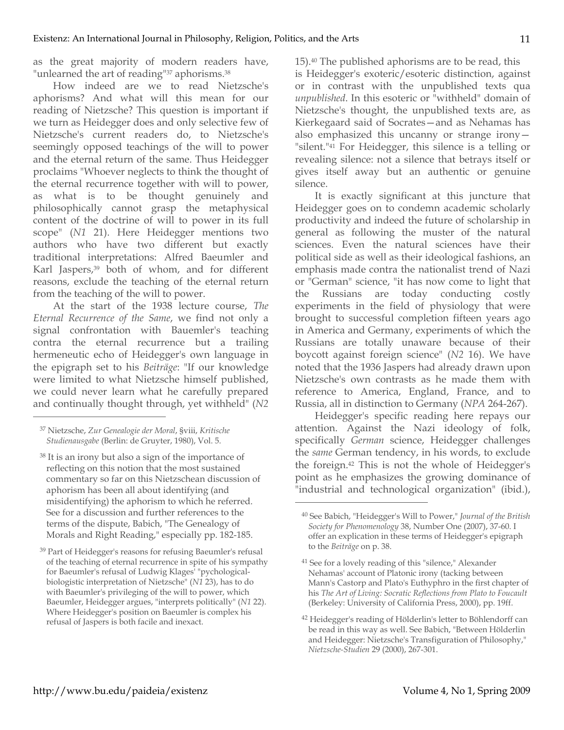as the great majority of modern readers have, "unlearned the art of reading"<sup>37</sup> aphorisms.<sup>38</sup>

How indeed are we to read Nietzsche's aphorisms? And what will this mean for our reading of Nietzsche? This question is important if we turn as Heidegger does and only selective few of Nietzsche's current readers do, to Nietzsche's seemingly opposed teachings of the will to power and the eternal return of the same. Thus Heidegger proclaims "Whoever neglects to think the thought of the eternal recurrence together with will to power, as what is to be thought genuinely and philosophically cannot grasp the metaphysical content of the doctrine of will to power in its full scope" (*N1* 21). Here Heidegger mentions two authors who have two different but exactly traditional interpretations: Alfred Baeumler and Karl Jaspers,<sup>39</sup> both of whom, and for different reasons, exclude the teaching of the eternal return from the teaching of the will to power.

At the start of the 1938 lecture course, *The Eternal Recurrence of the Same*, we find not only a signal confrontation with Bauemler's teaching contra the eternal recurrence but a trailing hermeneutic echo of Heidegger's own language in the epigraph set to his *Beiträge*: "If our knowledge were limited to what Nietzsche himself published, we could never learn what he carefully prepared and continually thought through, yet withheld" (*N2*

37 Nietzsche, *Zur Genealogie der Moral*, §viii, *Kritische Studienausgabe* (Berlin: de Gruyter, 1980), Vol. 5.

 $\overline{a}$ 

<sup>38</sup> It is an irony but also a sign of the importance of reflecting on this notion that the most sustained commentary so far on this Nietzschean discussion of aphorism has been all about identifying (and misidentifying) the aphorism to which he referred. See for a discussion and further references to the terms of the dispute, Babich, "The Genealogy of Morals and Right Reading," especially pp. 182-185.

39 Part of Heidegger's reasons for refusing Baeumler's refusal of the teaching of eternal recurrence in spite of his sympathy for Baeumler's refusal of Ludwig Klages' "pychologicalbiologistic interpretation of Nietzsche" (*N1* 23), has to do with Baeumler's privileging of the will to power, which Baeumler, Heidegger argues, "interprets politically" (*N1* 22). Where Heidegger's position on Baeumler is complex his refusal of Jaspers is both facile and inexact.

15).40 The published aphorisms are to be read, this is Heidegger's exoteric/esoteric distinction, against or in contrast with the unpublished texts qua *unpublished*. In this esoteric or "withheld" domain of Nietzsche's thought, the unpublished texts are, as Kierkegaard said of Socrates—and as Nehamas has also emphasized this uncanny or strange irony— "silent."41 For Heidegger, this silence is a telling or revealing silence: not a silence that betrays itself or gives itself away but an authentic or genuine silence.

It is exactly significant at this juncture that Heidegger goes on to condemn academic scholarly productivity and indeed the future of scholarship in general as following the muster of the natural sciences. Even the natural sciences have their political side as well as their ideological fashions, an emphasis made contra the nationalist trend of Nazi or "German" science, "it has now come to light that the Russians are today conducting costly experiments in the field of physiology that were brought to successful completion fifteen years ago in America and Germany, experiments of which the Russians are totally unaware because of their boycott against foreign science" (*N2* 16). We have noted that the 1936 Jaspers had already drawn upon Nietzsche's own contrasts as he made them with reference to America, England, France, and to Russia, all in distinction to Germany (*NPA* 264-267).

Heidegger's specific reading here repays our attention. Against the Nazi ideology of folk, specifically *German* science, Heidegger challenges the *same* German tendency, in his words, to exclude the foreign.42 This is not the whole of Heidegger's point as he emphasizes the growing dominance of "industrial and technological organization" (ibid.),

<sup>40</sup> See Babich, "Heidegger's Will to Power," *Journal of the British Society for Phenomenology* 38, Number One (2007), 37-60. I offer an explication in these terms of Heidegger's epigraph to the *Beiträge* on p. 38.

<sup>41</sup> See for a lovely reading of this "silence," Alexander Nehamas' account of Platonic irony (tacking between Mann's Castorp and Plato's Euthyphro in the first chapter of his *The Art of Living: Socratic Reflections from Plato to Foucault* (Berkeley: University of California Press, 2000), pp. 19ff.

<sup>42</sup> Heidegger's reading of Hölderlin's letter to Böhlendorff can be read in this way as well. See Babich, "Between Hölderlin and Heidegger: Nietzsche's Transfiguration of Philosophy," *Nietzsche-Studien* 29 (2000), 267-301.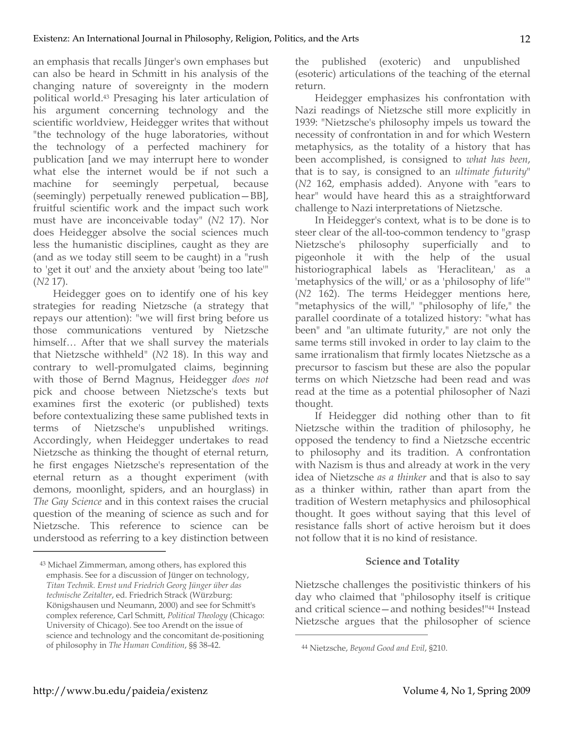an emphasis that recalls Jünger's own emphases but can also be heard in Schmitt in his analysis of the changing nature of sovereignty in the modern political world.43 Presaging his later articulation of his argument concerning technology and the scientific worldview, Heidegger writes that without "the technology of the huge laboratories, without the technology of a perfected machinery for publication [and we may interrupt here to wonder what else the internet would be if not such a machine for seemingly perpetual, because (seemingly) perpetually renewed publication—BB], fruitful scientific work and the impact such work must have are inconceivable today" (*N2* 17). Nor does Heidegger absolve the social sciences much less the humanistic disciplines, caught as they are (and as we today still seem to be caught) in a "rush to 'get it out' and the anxiety about 'being too late'" (*N2* 17).

Heidegger goes on to identify one of his key strategies for reading Nietzsche (a strategy that repays our attention): "we will first bring before us those communications ventured by Nietzsche himself… After that we shall survey the materials that Nietzsche withheld" (*N2* 18). In this way and contrary to well-promulgated claims, beginning with those of Bernd Magnus, Heidegger *does not* pick and choose between Nietzsche's texts but examines first the exoteric (or published) texts before contextualizing these same published texts in terms of Nietzsche's unpublished writings. Accordingly, when Heidegger undertakes to read Nietzsche as thinking the thought of eternal return, he first engages Nietzsche's representation of the eternal return as a thought experiment (with demons, moonlight, spiders, and an hourglass) in *The Gay Science* and in this context raises the crucial question of the meaning of science as such and for Nietzsche. This reference to science can be understood as referring to a key distinction between

the published (exoteric) and unpublished (esoteric) articulations of the teaching of the eternal return.

Heidegger emphasizes his confrontation with Nazi readings of Nietzsche still more explicitly in 1939: "Nietzsche's philosophy impels us toward the necessity of confrontation in and for which Western metaphysics, as the totality of a history that has been accomplished, is consigned to *what has been*, that is to say, is consigned to an *ultimate futurity*" (*N2* 162, emphasis added). Anyone with "ears to hear" would have heard this as a straightforward challenge to Nazi interpretations of Nietzsche.

In Heidegger's context, what is to be done is to steer clear of the all-too-common tendency to "grasp Nietzsche's philosophy superficially and to pigeonhole it with the help of the usual historiographical labels as 'Heraclitean,' as a 'metaphysics of the will,' or as a 'philosophy of life'" (*N2* 162). The terms Heidegger mentions here, "metaphysics of the will," "philosophy of life," the parallel coordinate of a totalized history: "what has been" and "an ultimate futurity," are not only the same terms still invoked in order to lay claim to the same irrationalism that firmly locates Nietzsche as a precursor to fascism but these are also the popular terms on which Nietzsche had been read and was read at the time as a potential philosopher of Nazi thought.

If Heidegger did nothing other than to fit Nietzsche within the tradition of philosophy, he opposed the tendency to find a Nietzsche eccentric to philosophy and its tradition. A confrontation with Nazism is thus and already at work in the very idea of Nietzsche *as a thinker* and that is also to say as a thinker within, rather than apart from the tradition of Western metaphysics and philosophical thought. It goes without saying that this level of resistance falls short of active heroism but it does not follow that it is no kind of resistance.

## **Science and Totality**

Nietzsche challenges the positivistic thinkers of his day who claimed that "philosophy itself is critique and critical science—and nothing besides!"44 Instead Nietzsche argues that the philosopher of science

 $\overline{a}$ 

<sup>43</sup> Michael Zimmerman, among others, has explored this emphasis. See for a discussion of Jünger on technology, *Titan Technik. Ernst und Friedrich Georg Jünger über das technische Zeitalter*, ed. Friedrich Strack (Würzburg: Königshausen und Neumann, 2000) and see for Schmitt's complex reference, Carl Schmitt, *Political Theology* (Chicago: University of Chicago). See too Arendt on the issue of science and technology and the concomitant de-positioning of philosophy in *The Human Condition*, §§ 38-42.

<sup>44</sup> Nietzsche, *Beyond Good and Evil*, §210.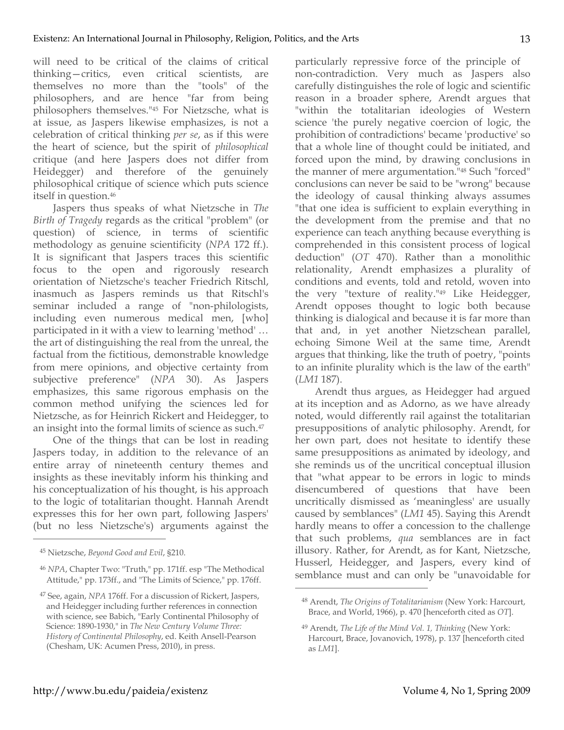will need to be critical of the claims of critical thinking—critics, even critical scientists, are themselves no more than the "tools" of the philosophers, and are hence "far from being philosophers themselves."45 For Nietzsche, what is at issue, as Jaspers likewise emphasizes, is not a celebration of critical thinking *per se*, as if this were the heart of science, but the spirit of *philosophical* critique (and here Jaspers does not differ from Heidegger) and therefore of the genuinely philosophical critique of science which puts science itself in question.46

Jaspers thus speaks of what Nietzsche in *The Birth of Tragedy* regards as the critical "problem" (or question) of science, in terms of scientific methodology as genuine scientificity (*NPA* 172 ff.). It is significant that Jaspers traces this scientific focus to the open and rigorously research orientation of Nietzsche's teacher Friedrich Ritschl, inasmuch as Jaspers reminds us that Ritschl's seminar included a range of "non-philologists, including even numerous medical men, [who] participated in it with a view to learning 'method' … the art of distinguishing the real from the unreal, the factual from the fictitious, demonstrable knowledge from mere opinions, and objective certainty from subjective preference" (*NPA* 30). As Jaspers emphasizes, this same rigorous emphasis on the common method unifying the sciences led for Nietzsche, as for Heinrich Rickert and Heidegger, to an insight into the formal limits of science as such.47

One of the things that can be lost in reading Jaspers today, in addition to the relevance of an entire array of nineteenth century themes and insights as these inevitably inform his thinking and his conceptualization of his thought, is his approach to the logic of totalitarian thought. Hannah Arendt expresses this for her own part, following Jaspers' (but no less Nietzsche's) arguments against the

 $\overline{a}$ 

particularly repressive force of the principle of non-contradiction. Very much as Jaspers also carefully distinguishes the role of logic and scientific reason in a broader sphere, Arendt argues that "within the totalitarian ideologies of Western science 'the purely negative coercion of logic, the prohibition of contradictions' became 'productive' so that a whole line of thought could be initiated, and forced upon the mind, by drawing conclusions in the manner of mere argumentation."48 Such "forced" conclusions can never be said to be "wrong" because the ideology of causal thinking always assumes "that one idea is sufficient to explain everything in the development from the premise and that no experience can teach anything because everything is comprehended in this consistent process of logical deduction" (*OT* 470). Rather than a monolithic relationality, Arendt emphasizes a plurality of conditions and events, told and retold, woven into the very "texture of reality."49 Like Heidegger, Arendt opposes thought to logic both because thinking is dialogical and because it is far more than that and, in yet another Nietzschean parallel, echoing Simone Weil at the same time, Arendt argues that thinking, like the truth of poetry, "points to an infinite plurality which is the law of the earth" (*LM1* 187).

Arendt thus argues, as Heidegger had argued at its inception and as Adorno, as we have already noted, would differently rail against the totalitarian presuppositions of analytic philosophy. Arendt, for her own part, does not hesitate to identify these same presuppositions as animated by ideology, and she reminds us of the uncritical conceptual illusion that "what appear to be errors in logic to minds disencumbered of questions that have been uncritically dismissed as 'meaningless' are usually caused by semblances" (*LM1* 45). Saying this Arendt hardly means to offer a concession to the challenge that such problems, *qua* semblances are in fact illusory. Rather, for Arendt, as for Kant, Nietzsche, Husserl, Heidegger, and Jaspers, every kind of semblance must and can only be "unavoidable for

<sup>45</sup> Nietzsche, *Beyond Good and Evil*, §210.

<sup>46</sup> *NPA*, Chapter Two: "Truth," pp. 171ff. esp "The Methodical Attitude," pp. 173ff., and "The Limits of Science," pp. 176ff.

<sup>47</sup> See, again, *NPA* 176ff. For a discussion of Rickert, Jaspers, and Heidegger including further references in connection with science, see Babich, "Early Continental Philosophy of Science: 1890-1930," in *The New Century Volume Three: History of Continental Philosophy*, ed. Keith Ansell-Pearson (Chesham, UK: Acumen Press, 2010), in press.

<sup>48</sup> Arendt, *The Origins of Totalitarianism* (New York: Harcourt, Brace, and World, 1966), p. 470 [henceforth cited as *OT*].

<sup>49</sup> Arendt, *The Life of the Mind Vol. 1, Thinking* (New York: Harcourt, Brace, Jovanovich, 1978), p. 137 [henceforth cited as *LM1*].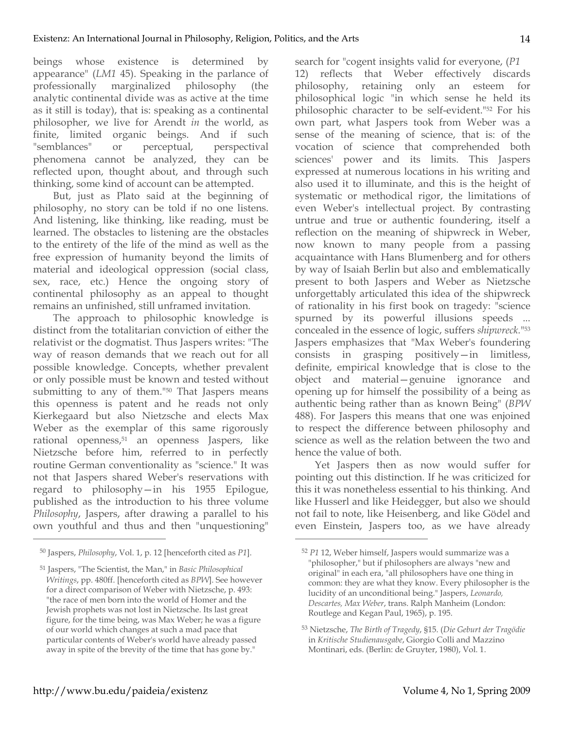beings whose existence is determined by appearance" (*LM1* 45). Speaking in the parlance of professionally marginalized philosophy (the analytic continental divide was as active at the time as it still is today), that is: speaking as a continental philosopher, we live for Arendt *in* the world, as finite, limited organic beings. And if such "semblances" or perceptual, perspectival phenomena cannot be analyzed, they can be reflected upon, thought about, and through such thinking, some kind of account can be attempted.

But, just as Plato said at the beginning of philosophy, no story can be told if no one listens. And listening, like thinking, like reading, must be learned. The obstacles to listening are the obstacles to the entirety of the life of the mind as well as the free expression of humanity beyond the limits of material and ideological oppression (social class, sex, race, etc.) Hence the ongoing story of continental philosophy as an appeal to thought remains an unfinished, still unframed invitation.

The approach to philosophic knowledge is distinct from the totalitarian conviction of either the relativist or the dogmatist. Thus Jaspers writes: "The way of reason demands that we reach out for all possible knowledge. Concepts, whether prevalent or only possible must be known and tested without submitting to any of them."50 That Jaspers means this openness is patent and he reads not only Kierkegaard but also Nietzsche and elects Max Weber as the exemplar of this same rigorously rational openness,<sup>51</sup> an openness Jaspers, like Nietzsche before him, referred to in perfectly routine German conventionality as "science." It was not that Jaspers shared Weber's reservations with regard to philosophy—in his 1955 Epilogue, published as the introduction to his three volume *Philosophy*, Jaspers, after drawing a parallel to his own youthful and thus and then "unquestioning"

 $\overline{a}$ 

search for "cogent insights valid for everyone, (*P1* 12) reflects that Weber effectively discards philosophy, retaining only an esteem for philosophical logic "in which sense he held its philosophic character to be self-evident."52 For his own part, what Jaspers took from Weber was a sense of the meaning of science, that is: of the vocation of science that comprehended both sciences' power and its limits. This Jaspers expressed at numerous locations in his writing and also used it to illuminate, and this is the height of systematic or methodical rigor, the limitations of even Weber's intellectual project. By contrasting untrue and true or authentic foundering, itself a reflection on the meaning of shipwreck in Weber, now known to many people from a passing acquaintance with Hans Blumenberg and for others by way of Isaiah Berlin but also and emblematically present to both Jaspers and Weber as Nietzsche unforgettably articulated this idea of the shipwreck of rationality in his first book on tragedy: "science spurned by its powerful illusions speeds ... concealed in the essence of logic, suffers *shipwreck.*"53 Jaspers emphasizes that "Max Weber's foundering consists in grasping positively—in limitless, definite, empirical knowledge that is close to the object and material—genuine ignorance and opening up for himself the possibility of a being as authentic being rather than as known Being" (*BPW* 488). For Jaspers this means that one was enjoined to respect the difference between philosophy and science as well as the relation between the two and hence the value of both.

Yet Jaspers then as now would suffer for pointing out this distinction. If he was criticized for this it was nonetheless essential to his thinking. And like Husserl and like Heidegger, but also we should not fail to note, like Heisenberg, and like Gödel and even Einstein, Jaspers too, as we have already

<sup>50</sup> Jaspers, *Philosophy*, Vol. 1, p. 12 [henceforth cited as *P1*].

<sup>51</sup> Jaspers, "The Scientist, the Man," in *Basic Philosophical Writings*, pp. 480ff. [henceforth cited as *BPW*]. See however for a direct comparison of Weber with Nietzsche, p. 493: "the race of men born into the world of Homer and the Jewish prophets was not lost in Nietzsche. Its last great figure, for the time being, was Max Weber; he was a figure of our world which changes at such a mad pace that particular contents of Weber's world have already passed away in spite of the brevity of the time that has gone by."

<sup>52</sup> *P1* 12, Weber himself, Jaspers would summarize was a "philosopher," but if philosophers are always "new and original" in each era, "all philosophers have one thing in common: they are what they know. Every philosopher is the lucidity of an unconditional being." Jaspers, *Leonardo, Descartes, Max Weber*, trans. Ralph Manheim (London: Routlege and Kegan Paul, 1965), p. 195.

<sup>53</sup> Nietzsche, *The Birth of Tragedy*, §15. (*Die Geburt der Tragödie* in *Kritische Studienausgabe*, Giorgio Colli and Mazzino Montinari, eds. (Berlin: de Gruyter, 1980), Vol. 1.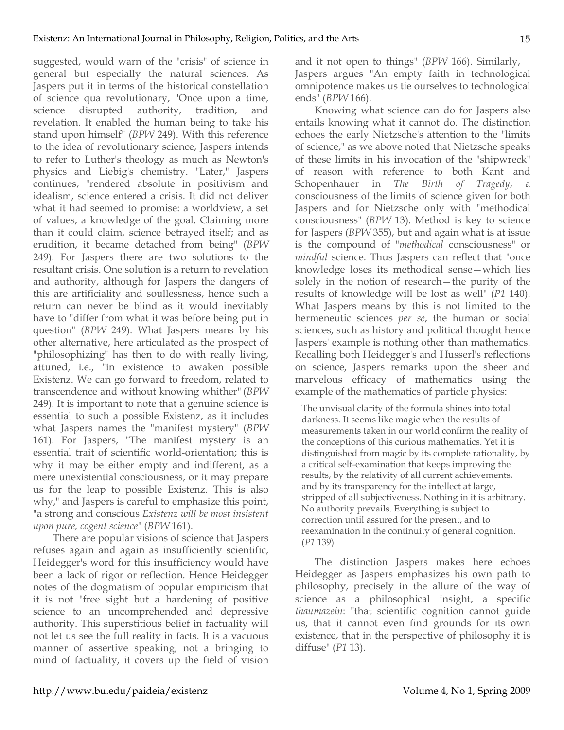suggested, would warn of the "crisis" of science in general but especially the natural sciences. As Jaspers put it in terms of the historical constellation of science qua revolutionary, "Once upon a time, science disrupted authority, tradition, and revelation. It enabled the human being to take his stand upon himself" (*BPW* 249). With this reference to the idea of revolutionary science, Jaspers intends to refer to Luther's theology as much as Newton's physics and Liebig's chemistry. "Later," Jaspers continues, "rendered absolute in positivism and idealism, science entered a crisis. It did not deliver what it had seemed to promise: a worldview, a set of values, a knowledge of the goal. Claiming more than it could claim, science betrayed itself; and as erudition, it became detached from being" (*BPW* 249). For Jaspers there are two solutions to the resultant crisis. One solution is a return to revelation and authority, although for Jaspers the dangers of this are artificiality and soullessness, hence such a return can never be blind as it would inevitably have to "differ from what it was before being put in question" (*BPW* 249). What Jaspers means by his other alternative, here articulated as the prospect of "philosophizing" has then to do with really living, attuned, i.e., "in existence to awaken possible Existenz. We can go forward to freedom, related to transcendence and without knowing whither" (*BPW* 249). It is important to note that a genuine science is essential to such a possible Existenz, as it includes what Jaspers names the "manifest mystery" (*BPW* 161). For Jaspers, "The manifest mystery is an essential trait of scientific world-orientation; this is why it may be either empty and indifferent, as a mere unexistential consciousness, or it may prepare us for the leap to possible Existenz. This is also why," and Jaspers is careful to emphasize this point, "a strong and conscious *Existenz will be most insistent upon pure, cogent science*" (*BPW* 161).

There are popular visions of science that Jaspers refuses again and again as insufficiently scientific, Heidegger's word for this insufficiency would have been a lack of rigor or reflection. Hence Heidegger notes of the dogmatism of popular empiricism that it is not "free sight but a hardening of positive science to an uncomprehended and depressive authority. This superstitious belief in factuality will not let us see the full reality in facts. It is a vacuous manner of assertive speaking, not a bringing to mind of factuality, it covers up the field of vision and it not open to things" (*BPW* 166). Similarly, Jaspers argues "An empty faith in technological omnipotence makes us tie ourselves to technological ends" (*BPW* 166).

Knowing what science can do for Jaspers also entails knowing what it cannot do. The distinction echoes the early Nietzsche's attention to the "limits of science," as we above noted that Nietzsche speaks of these limits in his invocation of the "shipwreck" of reason with reference to both Kant and Schopenhauer in *The Birth of Tragedy*, a consciousness of the limits of science given for both Jaspers and for Nietzsche only with "methodical consciousness" (*BPW* 13). Method is key to science for Jaspers (*BPW* 355), but and again what is at issue is the compound of "*methodical* consciousness" or *mindful* science. Thus Jaspers can reflect that "once knowledge loses its methodical sense—which lies solely in the notion of research—the purity of the results of knowledge will be lost as well" (*P1* 140). What Jaspers means by this is not limited to the hermeneutic sciences *per se*, the human or social sciences, such as history and political thought hence Jaspers' example is nothing other than mathematics. Recalling both Heidegger's and Husserl's reflections on science, Jaspers remarks upon the sheer and marvelous efficacy of mathematics using the example of the mathematics of particle physics:

The unvisual clarity of the formula shines into total darkness. It seems like magic when the results of measurements taken in our world confirm the reality of the conceptions of this curious mathematics. Yet it is distinguished from magic by its complete rationality, by a critical self-examination that keeps improving the results, by the relativity of all current achievements, and by its transparency for the intellect at large, stripped of all subjectiveness. Nothing in it is arbitrary. No authority prevails. Everything is subject to correction until assured for the present, and to reexamination in the continuity of general cognition. (*P1* 139)

The distinction Jaspers makes here echoes Heidegger as Jaspers emphasizes his own path to philosophy, precisely in the allure of the way of science as a philosophical insight, a specific *thaumazein*: "that scientific cognition cannot guide us, that it cannot even find grounds for its own existence, that in the perspective of philosophy it is diffuse" (*P1* 13).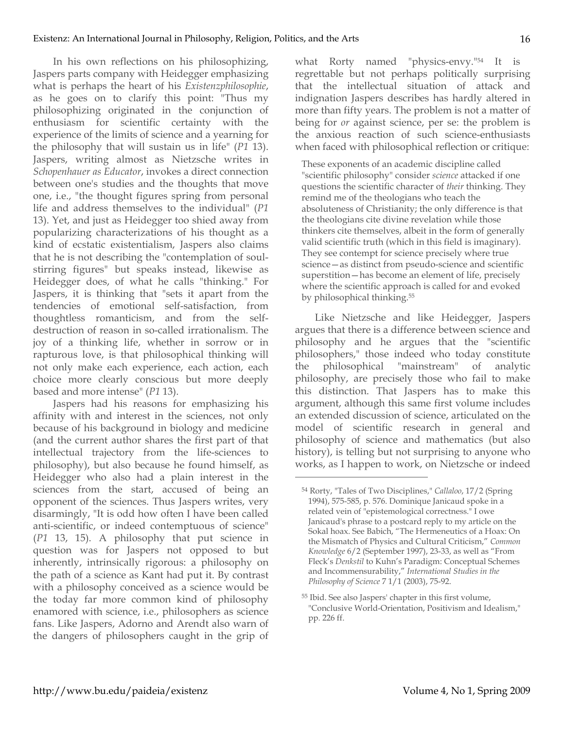In his own reflections on his philosophizing, Jaspers parts company with Heidegger emphasizing what is perhaps the heart of his *Existenzphilosophie*, as he goes on to clarify this point: "Thus my philosophizing originated in the conjunction of enthusiasm for scientific certainty with the experience of the limits of science and a yearning for the philosophy that will sustain us in life" (*P1* 13). Jaspers, writing almost as Nietzsche writes in *Schopenhauer as Educator*, invokes a direct connection between one's studies and the thoughts that move one, i.e., "the thought figures spring from personal life and address themselves to the individual" (*P1* 13). Yet, and just as Heidegger too shied away from popularizing characterizations of his thought as a kind of ecstatic existentialism, Jaspers also claims that he is not describing the "contemplation of soulstirring figures" but speaks instead, likewise as Heidegger does, of what he calls "thinking." For Jaspers, it is thinking that "sets it apart from the tendencies of emotional self-satisfaction, from thoughtless romanticism, and from the selfdestruction of reason in so-called irrationalism. The joy of a thinking life, whether in sorrow or in rapturous love, is that philosophical thinking will not only make each experience, each action, each choice more clearly conscious but more deeply based and more intense" (*P1* 13).

Jaspers had his reasons for emphasizing his affinity with and interest in the sciences, not only because of his background in biology and medicine (and the current author shares the first part of that intellectual trajectory from the life-sciences to philosophy), but also because he found himself, as Heidegger who also had a plain interest in the sciences from the start, accused of being an opponent of the sciences. Thus Jaspers writes, very disarmingly, "It is odd how often I have been called anti-scientific, or indeed contemptuous of science" (*P1* 13, 15). A philosophy that put science in question was for Jaspers not opposed to but inherently, intrinsically rigorous: a philosophy on the path of a science as Kant had put it. By contrast with a philosophy conceived as a science would be the today far more common kind of philosophy enamored with science, i.e., philosophers as science fans. Like Jaspers, Adorno and Arendt also warn of the dangers of philosophers caught in the grip of

what Rorty named "physics-envy."54 It is regrettable but not perhaps politically surprising that the intellectual situation of attack and indignation Jaspers describes has hardly altered in more than fifty years. The problem is not a matter of being for *or* against science, per se: the problem is the anxious reaction of such science-enthusiasts when faced with philosophical reflection or critique:

These exponents of an academic discipline called "scientific philosophy" consider *science* attacked if one questions the scientific character of *their* thinking. They remind me of the theologians who teach the absoluteness of Christianity; the only difference is that the theologians cite divine revelation while those thinkers cite themselves, albeit in the form of generally valid scientific truth (which in this field is imaginary). They see contempt for science precisely where true science—as distinct from pseudo-science and scientific superstition—has become an element of life, precisely where the scientific approach is called for and evoked by philosophical thinking.55

Like Nietzsche and like Heidegger, Jaspers argues that there is a difference between science and philosophy and he argues that the "scientific philosophers," those indeed who today constitute the philosophical "mainstream" of analytic philosophy, are precisely those who fail to make this distinction. That Jaspers has to make this argument, although this same first volume includes an extended discussion of science, articulated on the model of scientific research in general and philosophy of science and mathematics (but also history), is telling but not surprising to anyone who works, as I happen to work, on Nietzsche or indeed

<sup>54</sup> Rorty, "Tales of Two Disciplines," *Callaloo*, 17/2 (Spring 1994), 575-585, p. 576. Dominique Janicaud spoke in a related vein of "epistemological correctness." I owe Janicaud's phrase to a postcard reply to my article on the Sokal hoax. See Babich, "The Hermeneutics of a Hoax: On the Mismatch of Physics and Cultural Criticism," *Common Knowledge* 6/2 (September 1997), 23-33, as well as "From Fleck's *Denkstil* to Kuhn's Paradigm: Conceptual Schemes and Incommensurability," *International Studies in the Philosophy of Science* 7 1/1 (2003), 75-92.

<sup>55</sup> Ibid. See also Jaspers' chapter in this first volume, "Conclusive World-Orientation, Positivism and Idealism," pp. 226 ff.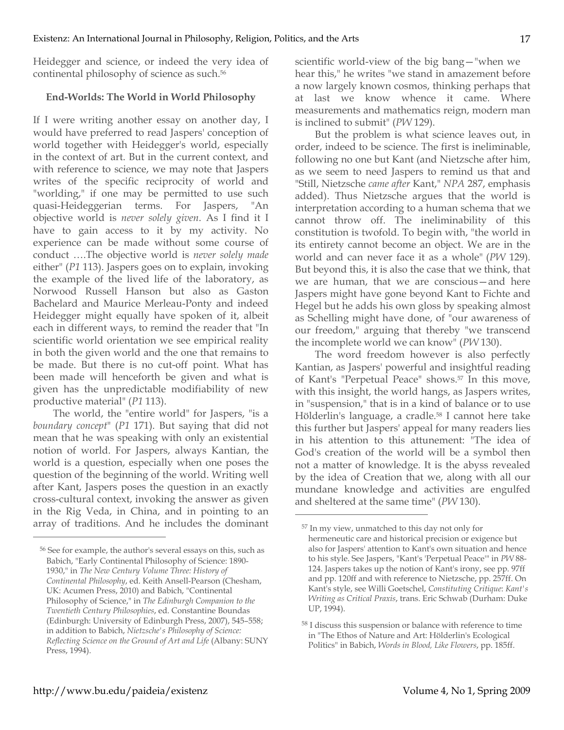Heidegger and science, or indeed the very idea of continental philosophy of science as such.56

# **End-Worlds: The World in World Philosophy**

If I were writing another essay on another day, I would have preferred to read Jaspers' conception of world together with Heidegger's world, especially in the context of art. But in the current context, and with reference to science, we may note that Jaspers writes of the specific reciprocity of world and "worlding," if one may be permitted to use such quasi-Heideggerian terms. For Jaspers, "An objective world is *never solely given*. As I find it I have to gain access to it by my activity. No experience can be made without some course of conduct ….The objective world is *never solely made*  either" (*P1* 113). Jaspers goes on to explain, invoking the example of the lived life of the laboratory, as Norwood Russell Hanson but also as Gaston Bachelard and Maurice Merleau-Ponty and indeed Heidegger might equally have spoken of it, albeit each in different ways, to remind the reader that "In scientific world orientation we see empirical reality in both the given world and the one that remains to be made. But there is no cut-off point. What has been made will henceforth be given and what is given has the unpredictable modifiability of new productive material" (*P1* 113).

The world, the "entire world" for Jaspers, "is a *boundary concept*" (*P1* 171). But saying that did not mean that he was speaking with only an existential notion of world. For Jaspers, always Kantian, the world is a question, especially when one poses the question of the beginning of the world. Writing well after Kant, Jaspers poses the question in an exactly cross-cultural context, invoking the answer as given in the Rig Veda, in China, and in pointing to an array of traditions. And he includes the dominant scientific world-view of the big bang—"when we hear this," he writes "we stand in amazement before a now largely known cosmos, thinking perhaps that at last we know whence it came. Where measurements and mathematics reign, modern man is inclined to submit" (*PW* 129).

But the problem is what science leaves out, in order, indeed to be science. The first is ineliminable, following no one but Kant (and Nietzsche after him, as we seem to need Jaspers to remind us that and "Still, Nietzsche *came after* Kant," *NPA* 287, emphasis added). Thus Nietzsche argues that the world is interpretation according to a human schema that we cannot throw off. The ineliminability of this constitution is twofold. To begin with, "the world in its entirety cannot become an object. We are in the world and can never face it as a whole" (*PW* 129). But beyond this, it is also the case that we think, that we are human, that we are conscious—and here Jaspers might have gone beyond Kant to Fichte and Hegel but he adds his own gloss by speaking almost as Schelling might have done, of "our awareness of our freedom," arguing that thereby "we transcend the incomplete world we can know" (*PW* 130).

The word freedom however is also perfectly Kantian, as Jaspers' powerful and insightful reading of Kant's "Perpetual Peace" shows.57 In this move, with this insight, the world hangs, as Jaspers writes, in "suspension," that is in a kind of balance or to use Hölderlin's language, a cradle.58 I cannot here take this further but Jaspers' appeal for many readers lies in his attention to this attunement: "The idea of God's creation of the world will be a symbol then not a matter of knowledge. It is the abyss revealed by the idea of Creation that we, along with all our mundane knowledge and activities are engulfed and sheltered at the same time" (*PW* 130).

 $\overline{a}$ 

<sup>56</sup> See for example, the author's several essays on this, such as Babich, "Early Continental Philosophy of Science: 1890- 1930," in *The New Century Volume Three: History of Continental Philosophy*, ed. Keith Ansell-Pearson (Chesham, UK: Acumen Press, 2010) and Babich, "Continental Philosophy of Science," in *The Edinburgh Companion to the Twentieth Century Philosophies*, ed. Constantine Boundas (Edinburgh: University of Edinburgh Press, 2007), 545–558; in addition to Babich, *Nietzsche's Philosophy of Science: Reflecting Science on the Ground of Art and Life* (Albany: SUNY Press, 1994).

<sup>57</sup> In my view, unmatched to this day not only for hermeneutic care and historical precision or exigence but also for Jaspers' attention to Kant's own situation and hence to his style. See Jaspers, "Kant's 'Perpetual Peace'" in *PW* 88- 124. Jaspers takes up the notion of Kant's irony, see pp. 97ff and pp. 120ff and with reference to Nietzsche, pp. 257ff. On Kant's style, see Willi Goetschel, *Constituting Critique*: *Kant's Writing as Critical Praxis*, trans. Eric Schwab (Durham: Duke UP, 1994).

<sup>58</sup> I discuss this suspension or balance with reference to time in "The Ethos of Nature and Art: Hölderlin's Ecological Politics" in Babich, *Words in Blood, Like Flowers*, pp. 185ff.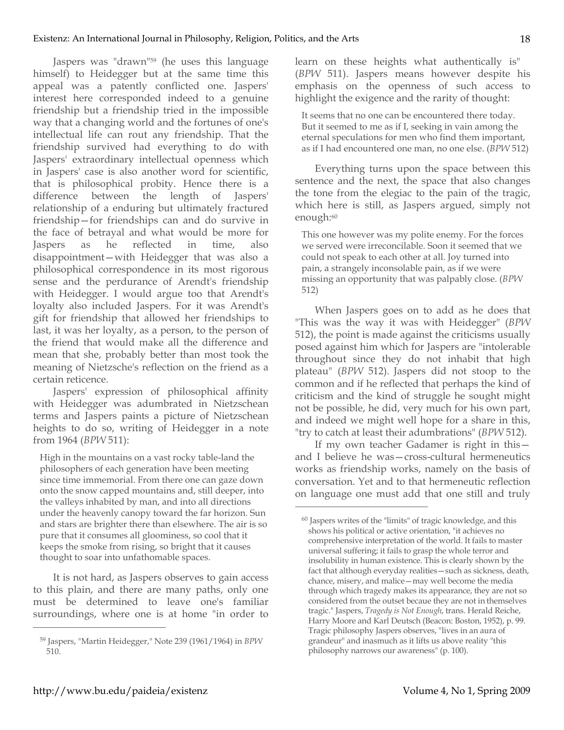Jaspers was "drawn"<sup>59</sup> (he uses this language himself) to Heidegger but at the same time this appeal was a patently conflicted one. Jaspers' interest here corresponded indeed to a genuine friendship but a friendship tried in the impossible way that a changing world and the fortunes of one's intellectual life can rout any friendship. That the friendship survived had everything to do with Jaspers' extraordinary intellectual openness which in Jaspers' case is also another word for scientific, that is philosophical probity. Hence there is a difference between the length of Jaspers' relationship of a enduring but ultimately fractured friendship—for friendships can and do survive in the face of betrayal and what would be more for Jaspers as he reflected in time, also disappointment—with Heidegger that was also a philosophical correspondence in its most rigorous sense and the perdurance of Arendt's friendship with Heidegger. I would argue too that Arendt's loyalty also included Jaspers. For it was Arendt's gift for friendship that allowed her friendships to last, it was her loyalty, as a person, to the person of the friend that would make all the difference and mean that she, probably better than most took the meaning of Nietzsche's reflection on the friend as a certain reticence.

Jaspers' expression of philosophical affinity with Heidegger was adumbrated in Nietzschean terms and Jaspers paints a picture of Nietzschean heights to do so, writing of Heidegger in a note from 1964 (*BPW* 511):

High in the mountains on a vast rocky table-land the philosophers of each generation have been meeting since time immemorial. From there one can gaze down onto the snow capped mountains and, still deeper, into the valleys inhabited by man, and into all directions under the heavenly canopy toward the far horizon. Sun and stars are brighter there than elsewhere. The air is so pure that it consumes all gloominess, so cool that it keeps the smoke from rising, so bright that it causes thought to soar into unfathomable spaces.

It is not hard, as Jaspers observes to gain access to this plain, and there are many paths, only one must be determined to leave one's familiar surroundings, where one is at home "in order to learn on these heights what authentically is" (*BPW* 511). Jaspers means however despite his emphasis on the openness of such access to highlight the exigence and the rarity of thought:

It seems that no one can be encountered there today. But it seemed to me as if I, seeking in vain among the eternal speculations for men who find them important, as if I had encountered one man, no one else. (*BPW* 512)

Everything turns upon the space between this sentence and the next, the space that also changes the tone from the elegiac to the pain of the tragic, which here is still, as Jaspers argued, simply not enough:<sup>60</sup>

This one however was my polite enemy. For the forces we served were irreconcilable. Soon it seemed that we could not speak to each other at all. Joy turned into pain, a strangely inconsolable pain, as if we were missing an opportunity that was palpably close. (*BPW* 512)

When Jaspers goes on to add as he does that "This was the way it was with Heidegger" (*BPW* 512), the point is made against the criticisms usually posed against him which for Jaspers are "intolerable throughout since they do not inhabit that high plateau" (*BPW* 512). Jaspers did not stoop to the common and if he reflected that perhaps the kind of criticism and the kind of struggle he sought might not be possible, he did, very much for his own part, and indeed we might well hope for a share in this, "try to catch at least their adumbrations" (*BPW* 512).

If my own teacher Gadamer is right in this and I believe he was—cross-cultural hermeneutics works as friendship works, namely on the basis of conversation. Yet and to that hermeneutic reflection on language one must add that one still and truly

 $\overline{a}$ 

<sup>59</sup> Jaspers, "Martin Heidegger," Note 239 (1961/1964) in *BPW* 510.

<sup>60</sup> Jaspers writes of the "limits" of tragic knowledge, and this shows his political or active orientation, "it achieves no comprehensive interpretation of the world. It fails to master universal suffering; it fails to grasp the whole terror and insolubility in human existence. This is clearly shown by the fact that although everyday realities—such as sickness, death, chance, misery, and malice—may well become the media through which tragedy makes its appearance, they are not so considered from the outset becaue they are not in themselves tragic." Jaspers, *Tragedy is Not Enough*, trans. Herald Reiche, Harry Moore and Karl Deutsch (Beacon: Boston, 1952), p. 99. Tragic philosophy Jaspers observes, "lives in an aura of grandeur" and inasmuch as it lifts us above reality "this philosophy narrows our awareness" (p. 100).